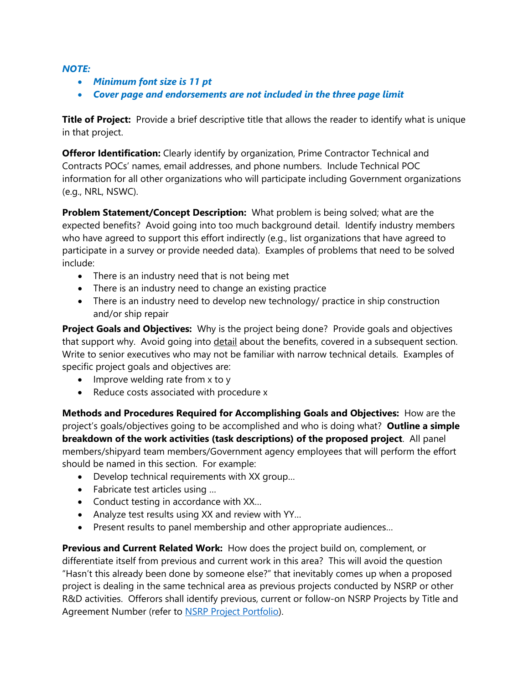## *NOTE:*

- *Minimum font size is 11 pt*
- *Cover page and endorsements are not included in the three page limit*

**Title of Project:** Provide a brief descriptive title that allows the reader to identify what is unique in that project.

**Offeror Identification:** Clearly identify by organization, Prime Contractor Technical and Contracts POCs' names, email addresses, and phone numbers. Include Technical POC information for all other organizations who will participate including Government organizations (e.g., NRL, NSWC).

**Problem Statement/Concept Description:** What problem is being solved; what are the expected benefits? Avoid going into too much background detail. Identify industry members who have agreed to support this effort indirectly (e.g., list organizations that have agreed to participate in a survey or provide needed data). Examples of problems that need to be solved include:

- There is an industry need that is not being met
- There is an industry need to change an existing practice
- There is an industry need to develop new technology/ practice in ship construction and/or ship repair

**Project Goals and Objectives:** Why is the project being done? Provide goals and objectives that support why. Avoid going into detail about the benefits, covered in a subsequent section. Write to senior executives who may not be familiar with narrow technical details. Examples of specific project goals and objectives are:

- Improve welding rate from x to y
- Reduce costs associated with procedure x

**Methods and Procedures Required for Accomplishing Goals and Objectives:** How are the project's goals/objectives going to be accomplished and who is doing what? **Outline a simple breakdown of the work activities (task descriptions) of the proposed project**. All panel members/shipyard team members/Government agency employees that will perform the effort should be named in this section. For example:

- Develop technical requirements with XX group…
- Fabricate test articles using …
- Conduct testing in accordance with XX...
- Analyze test results using XX and review with YY…
- Present results to panel membership and other appropriate audiences…

**Previous and Current Related Work:** How does the project build on, complement, or differentiate itself from previous and current work in this area? This will avoid the question "Hasn't this already been done by someone else?" that inevitably comes up when a proposed project is dealing in the same technical area as previous projects conducted by NSRP or other R&D activities. Offerors shall identify previous, current or follow-on NSRP Projects by Title and Agreement Number (refer to [NSRP Project Portfolio\)](https://www.nsrp.org/project-portfolio/).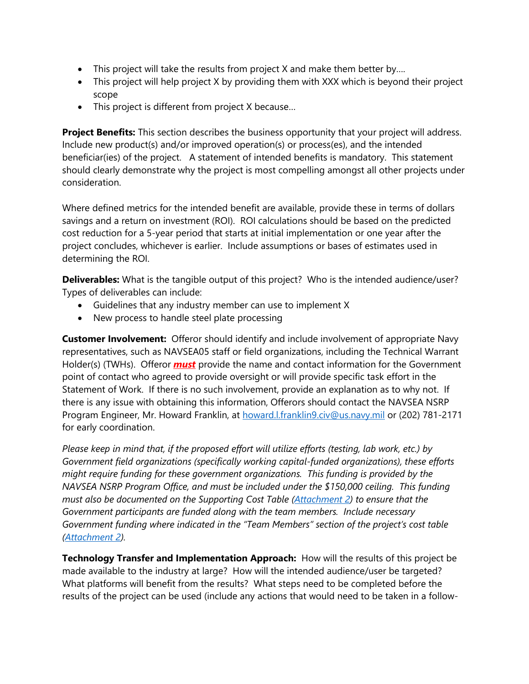- This project will take the results from project X and make them better by....
- This project will help project X by providing them with XXX which is beyond their project scope
- This project is different from project X because…

**Project Benefits:** This section describes the business opportunity that your project will address. Include new product(s) and/or improved operation(s) or process(es), and the intended beneficiar(ies) of the project. A statement of intended benefits is mandatory. This statement should clearly demonstrate why the project is most compelling amongst all other projects under consideration.

Where defined metrics for the intended benefit are available, provide these in terms of dollars savings and a return on investment (ROI). ROI calculations should be based on the predicted cost reduction for a 5-year period that starts at initial implementation or one year after the project concludes, whichever is earlier. Include assumptions or bases of estimates used in determining the ROI.

**Deliverables:** What is the tangible output of this project? Who is the intended audience/user? Types of deliverables can include:

- Guidelines that any industry member can use to implement X
- New process to handle steel plate processing

**Customer Involvement:** Offeror should identify and include involvement of appropriate Navy representatives, such as NAVSEA05 staff or field organizations, including the Technical Warrant Holder(s) (TWHs). Offeror **must** provide the name and contact information for the Government point of contact who agreed to provide oversight or will provide specific task effort in the Statement of Work. If there is no such involvement, provide an explanation as to why not. If there is any issue with obtaining this information, Offerors should contact the NAVSEA NSRP Program Engineer, Mr. Howard Franklin, at [howard.l.franklin9.civ@us.navy.mil](mailto:howard.l.franklin9.civ@us.navy.mil) or (202) 781-2171 for early coordination.

*Please keep in mind that, if the proposed effort will utilize efforts (testing, lab work, etc.) by Government field organizations (specifically working capital-funded organizations), these efforts might require funding for these government organizations. This funding is provided by the NAVSEA NSRP Program Office, and must be included under the \$150,000 ceiling. This funding must also be documented on the Supporting Cost Table (Attachment 2) to ensure that the Government participants are funded along with the team members. Include necessary Government funding where indicated in the "Team Members" section of the project's cost table (Attachment 2).*

**Technology Transfer and Implementation Approach:** How will the results of this project be made available to the industry at large? How will the intended audience/user be targeted? What platforms will benefit from the results? What steps need to be completed before the results of the project can be used (include any actions that would need to be taken in a follow